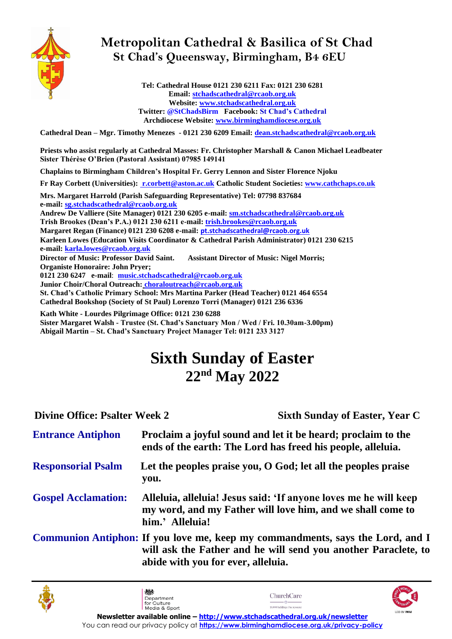

## **Metropolitan Cathedral & Basilica of St Chad St Chad's Queensway, Birmingham, B4 6EU**

**Tel: Cathedral House 0121 230 6211 Fax: 0121 230 6281 Email[: stchadscathedral@rcaob.org.uk](mailto:stchadscathedral@rcaob.org.uk) Website: [www.stchadscathedral.org.uk](http://www.stchadscathedral.org.uk/) Twitter: @StChadsBirm Facebook: St Chad's Cathedral Archdiocese Website: [www.birminghamdiocese.org.uk](http://www.birminghamdiocese.org.uk/)**

**Cathedral Dean – Mgr. Timothy Menezes - 0121 230 6209 Email: [dean.stchadscathedral@rcaob.org.uk](mailto:dean.stchadscathedral@rcaob.org.uk)**

**Priests who assist regularly at Cathedral Masses: Fr. Christopher Marshall & Canon Michael Leadbeater Sister Thérèse O'Brien (Pastoral Assistant) 07985 149141** 

**Chaplains to Birmingham Children's Hospital Fr. Gerry Lennon and Sister Florence Njoku**

**Fr Ray Corbett (Universities): [r.corbett@aston.ac.uk](mailto:r.corbett@aston.ac.uk) Catholic Student Societies[: www.cathchaps.co.uk](http://www.cathchaps.co.uk/)**

**Mrs. Margaret Harrold (Parish Safeguarding Representative) Tel: 07798 837684 e-mail: [sg.stchadscathedral@rcaob.org.uk](mailto:sg.stchadscathedral@rcaob.org.uk) Andrew De Valliere (Site Manager) 0121 230 6205 e-mail: [sm.stchadscathedral@rcaob.org.uk](mailto:sm.stchadscathedral@rcaob.org.uk) Trish Brookes (Dean's P.A.) 0121 230 6211 e-mail[: trish.brookes@rcaob.org.uk](mailto:trish.brookes@rcaob.org.uk) Margaret Regan (Finance) 0121 230 6208 e-mail: [pt.stchadscathedral@rcaob.org.uk](mailto:sg.stchadscathedral@rcaob.org.uk) Karleen Lowes (Education Visits Coordinator & Cathedral Parish Administrator) 0121 230 6215 e-mail: [karla.lowes@rcaob.org.uk](mailto:karla.lowes@rcaob.org.uk) Director of Music: Professor David Saint. Assistant Director of Music: Nigel Morris; Organiste Honoraire: John Pryer; 0121 230 6247 e-mail**: **[music.stchadscathedral@rcaob.org.uk](mailto:music.stchadscathedral@rcaob.org.uk) Junior Choir/Choral Outreach: [choraloutreach@r](mailto:choraloutreach@)caob.org.uk St. Chad's Catholic Primary School: Mrs Martina Parker (Head Teacher) 0121 464 6554 Cathedral Bookshop (Society of St Paul) Lorenzo Torri (Manager) 0121 236 6336**

**Kath White - Lourdes Pilgrimage Office: 0121 230 6288 Sister Margaret Walsh - Trustee (St. Chad's Sanctuary Mon / Wed / Fri. 10.30am-3.00pm) Abigail Martin – St. Chad's Sanctuary Project Manager Tel: 0121 233 3127**

# **Sixth Sunday of Easter 22nd May 2022**

203

Department<br>for Culture

**Divine Office: Psalter Week 2 Sixth Sunday of Easter, Year C** 

| <b>Entrance Antiphon</b>   | Proclaim a joyful sound and let it be heard; proclaim to the<br>ends of the earth: The Lord has freed his people, alleluia.                                                            |
|----------------------------|----------------------------------------------------------------------------------------------------------------------------------------------------------------------------------------|
| <b>Responsorial Psalm</b>  | Let the peoples praise you, $O God$ ; let all the peoples praise<br>you.                                                                                                               |
| <b>Gospel Acclamation:</b> | Alleluia, alleluia! Jesus said: 'If anyone loves me he will keep<br>my word, and my Father will love him, and we shall come to<br>him.' Alleluia!                                      |
|                            | Communion Antiphon: If you love me, keep my commandments, says the Lord, and I<br>will ask the Father and he will send you another Paraclete, to<br>abide with you for ever, alleluia. |



ChurchCare

**Manufacturer Common** 

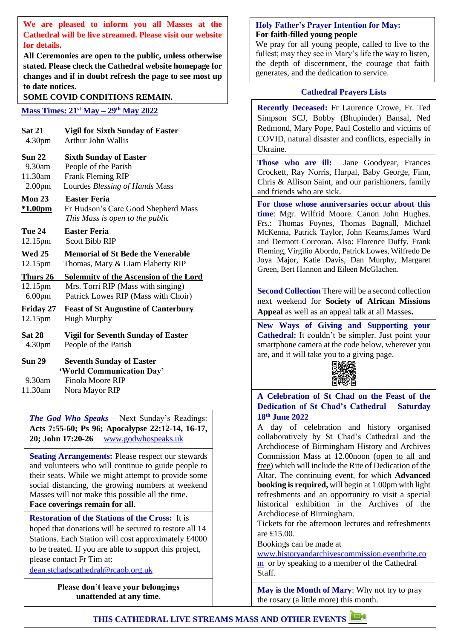**We are pleased to inform you all Masses at the Cathedral will be live streamed. Please visit our website for details.** 

**All Ceremonies are open to the public, unless otherwise stated. Please check the Cathedral website homepage for changes and if in doubt refresh the page to see most up to date notices.**

**SOME COVID CONDITIONS REMAIN.** Cathedral Prayers Lists

#### **Mass Times: 21st May – 29th May 2022**

| <b>Sat 21</b>                         | <b>Vigil for Sixth Sunday of Easter</b>                                                            |
|---------------------------------------|----------------------------------------------------------------------------------------------------|
| 4.30 <sub>pm</sub>                    | <b>Arthur John Wallis</b>                                                                          |
| <b>Sun 22</b>                         | <b>Sixth Sunday of Easter</b>                                                                      |
| 9.30am                                | People of the Parish                                                                               |
| 11.30am                               | <b>Frank Fleming RIP</b>                                                                           |
| 2.00 <sub>pm</sub>                    | Lourdes Blessing of Hands Mass                                                                     |
| Mon $23$<br><u>*1.00pm</u>            | <b>Easter Feria</b><br>Fr Hudson's Care Good Shepherd Mass<br>This Mass is open to the public      |
| Tue 24                                | <b>Easter Feria</b>                                                                                |
| 12.15pm                               | <b>Scott Bibb RIP</b>                                                                              |
| <b>Wed 25</b>                         | <b>Memorial of St Bede the Venerable</b>                                                           |
| 12.15pm                               | Thomas, Mary & Liam Flaherty RIP                                                                   |
| Thurs 26                              | <b>Solemnity of the Ascension of the Lord</b>                                                      |
| 12.15pm                               | Mrs. Torri RIP (Mass with singing)                                                                 |
| 6.00 <sub>pm</sub>                    | Patrick Lowes RIP (Mass with Choir)                                                                |
| <b>Friday 27</b>                      | <b>Feast of St Augustine of Canterbury</b>                                                         |
| 12.15pm                               | <b>Hugh Murphy</b>                                                                                 |
| <b>Sat 28</b>                         | <b>Vigil for Seventh Sunday of Easter</b>                                                          |
| 4.30pm                                | People of the Parish                                                                               |
| <b>Sun 29</b><br>$9.30$ am<br>11.30am | <b>Seventh Sunday of Easter</b><br>'World Communication Day'<br>Finola Moore RIP<br>Nora Mayor RIP |

*The God Who Speaks –* Next Sunday's Readings: **Acts 7:55-60; Ps 96; Apocalypse 22:12-14, 16-17, 20; John 17:20-26** [www.godwhospeaks.uk](http://www.godwhospeaks.uk/)

**Seating Arrangements:** Please respect our stewards and volunteers who will continue to guide people to their seats. While we might attempt to provide some social distancing, the growing numbers at weekend Masses will not make this possible all the time. **Face coverings remain for all.**

**Restoration of the Stations of the Cross:** It is hoped that donations will be secured to restore all 14 Stations. Each Station will cost approximately £4000 to be treated. If you are able to support this project, please contact Fr Tim at:

[dean.stchadscathedral@rcaob.org.uk](mailto:dean.stchadscathedral@rcaob.org.uk)

**Please don't leave your belongings unattended at any time.**

#### **Holy Father's Prayer Intention for May: For faith-filled young people**

We pray for all young people, called to live to the fullest; may they see in Mary's life the way to listen, the depth of discernment, the courage that faith generates, and the dedication to service.

**Recently Deceased:** Fr Laurence Crowe, Fr. Ted Simpson SCJ, Bobby (Bhupinder) Bansal, Ned Redmond, Mary Pope, Paul Costello and victims of COVID, natural disaster and conflicts, especially in Ukraine.

Those who are ill: Jane Goodyear, Frances Crockett, Ray Norris, Harpal, Baby George, Finn, Chris & Allison Saint, and our parishioners, family and friends who are sick.

**For those whose anniversaries occur about this time**: Mgr. Wilfrid Moore. Canon John Hughes. Frs.: Thomas Foynes, Thomas Bagnall, Michael McKenna, Patrick Taylor, John Kearns,James Ward and Dermott Corcoran. Also: Florence Duffy, Frank Fleming, Virgilio Abordo, Patrick Lowes, Wilfredo De Joya Major, Katie Davis, Dan Murphy, Margaret Green, Bert Hannon and Eileen McGlachen.

**Second Collection** There will be a second collection next weekend for **Society of African Missions Appeal** as well as an appeal talk at all Masses**.**

**New Ways of Giving and Supporting your Cathedral:** It couldn't be simpler. Just point your smartphone camera at the code below, wherever you are, and it will take you to a giving page.



**A Celebration of St Chad on the Feast of the Dedication of St Chad's Cathedral – Saturday 18th June 2022**

A day of celebration and history organised collaboratively by St Chad's Cathedral and the Archdiocese of Birmingham History and Archives Commission Mass at 12.00noon (open to all and free) which will include the Rite of Dedication of the Altar. The continuing event, for which **Advanced booking is required,** will begin at 1.00pm with light refreshments and an opportunity to visit a special historical exhibition in the Archives of the Archdiocese of Birmingham.

Tickets for the afternoon lectures and refreshments are £15.00.

Bookings can be made at

[www.historyandarchivescommission.eventbrite.co](http://www.historyandarchivescommission.eventbrite.com/)  $\frac{m}{m}$  $\frac{m}{m}$  $\frac{m}{m}$  or by speaking to a member of the Cathedral Staff.

**May is the Month of Mary**: Why not try to pray the rosary (a little more) this month.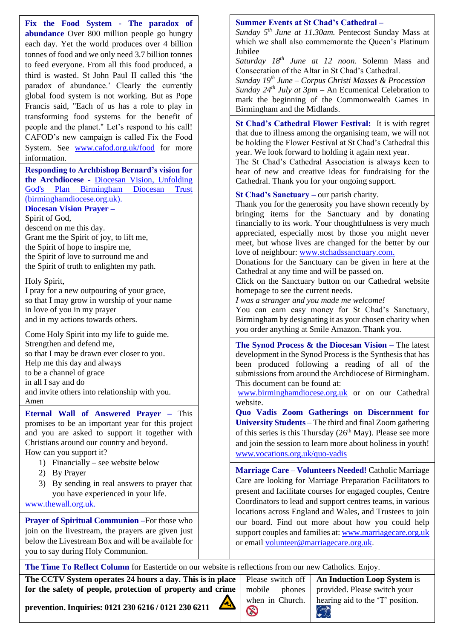**Fix the Food System - The paradox of abundance** Over 800 million people go hungry each day. Yet the world produces over 4 billion tonnes of food and we only need 3.7 billion tonnes to feed everyone. From all this food produced, a third is wasted. St John Paul II called this 'the paradox of abundance.' Clearly the currently global food system is not working. But as Pope Francis said, "Each of us has a role to play in transforming food systems for the benefit of people and the planet." Let's respond to his call! CAFOD's new campaign is called Fix the Food System. See [www.cafod.org.uk/food](http://www.cafod.org.uk/food) for more information.

#### **Responding to Archbishop Bernard's vision for the Archdiocese -** [Diocesan Vision, Unfolding](https://www.birminghamdiocese.org.uk/pages/category/diocesan-vision-unfolding-gods-plan)  God's Plan [Birmingham Diocesan Trust](https://www.birminghamdiocese.org.uk/pages/category/diocesan-vision-unfolding-gods-plan)  [\(birminghamdiocese.org.uk\).](https://www.birminghamdiocese.org.uk/pages/category/diocesan-vision-unfolding-gods-plan)

### **Diocesan Vision Prayer –**

Spirit of God,

descend on me this day. Grant me the Spirit of joy, to lift me, the Spirit of hope to inspire me, the Spirit of love to surround me and the Spirit of truth to enlighten my path.

#### Holy Spirit,

I pray for a new outpouring of your grace, so that I may grow in worship of your name in love of you in my prayer and in my actions towards others.

Come Holy Spirit into my life to guide me. Strengthen and defend me, so that I may be drawn ever closer to you. Help me this day and always to be a channel of grace in all I say and do and invite others into relationship with you. Amen

**Eternal Wall of Answered Prayer –** This promises to be an important year for this project and you are asked to support it together with Christians around our country and beyond. How can you support it?

- 1) Financially see website below
- 2) By Prayer
- 3) By sending in real answers to prayer that you have experienced in your life.

[www.thewall.org.uk.](http://www.thewall.org.uk/)

**Prayer of Spiritual Communion –**For those who join on the livestream, the prayers are given just below the Livestream Box and will be available for you to say during Holy Communion.

#### **Summer Events at St Chad's Cathedral –**

*Sunday 5th June at 11.30am.* Pentecost Sunday Mass at which we shall also commemorate the Oueen's Platinum Jubilee

*Saturday 18th June at 12 noon*. Solemn Mass and Consecration of the Altar in St Chad's Cathedral.

*Sunday 19th June – Corpus Christi Masses & Procession Sunday 24th July at 3pm* – An Ecumenical Celebration to mark the beginning of the Commonwealth Games in Birmingham and the Midlands.

**St Chad's Cathedral Flower Festival:** It is with regret that due to illness among the organising team, we will not be holding the Flower Festival at St Chad's Cathedral this year. We look forward to holding it again next year.

The St Chad's Cathedral Association is always keen to hear of new and creative ideas for fundraising for the Cathedral. Thank you for your ongoing support.

**St Chad's Sanctuary –** our parish charity.

Thank you for the generosity you have shown recently by bringing items for the Sanctuary and by donating financially to its work. Your thoughtfulness is very much appreciated, especially most by those you might never meet, but whose lives are changed for the better by our love of neighbour: [www.stchadssanctuary.com.](http://www.stchadssanctuary.com/)

Donations for the Sanctuary can be given in here at the Cathedral at any time and will be passed on.

Click on the Sanctuary button on our Cathedral website homepage to see the current needs.

*I was a stranger and you made me welcome!*

You can earn easy money for St Chad's Sanctuary, Birmingham by designating it as your chosen charity when you order anything at Smile Amazon. Thank you.

**The Synod Process & the Diocesan Vision –** The latest development in the Synod Process is the Synthesis that has been produced following a reading of all of the submissions from around the Archdiocese of Birmingham. This document can be found at:

[www.birminghamdiocese.org.uk](http://www.birminghamdiocese.org.uk/) or on our Cathedral website.

**Quo Vadis Zoom Gatherings on Discernment for University Students** – The third and final Zoom gathering of this series is this Thursday ( $26<sup>th</sup>$  May). Please see more and join the session to learn more about holiness in youth! [www.vocations.org.uk/quo-vadis](http://www.vocations.org.uk/quo-vadis) 

**Marriage Care – Volunteers Needed!** Catholic Marriage Care are looking for Marriage Preparation Facilitators to present and facilitate courses for engaged couples, Centre Coordinators to lead and support centres teams, in various locations across England and Wales, and Trustees to join our board. Find out more about how you could help support couples and families at: [www.marriagecare.org.uk](http://www.marriagecare.org.uk/) or email [volunteer@marriagecare.org.uk.](mailto:volunteer@marriagecare.org.uk)

**The Time To Reflect Column** for Eastertide on our website is reflections from our new Catholics. Enjoy.

for the safety of people, protection of property and crime **The CCTV System operates 24 hours a day. This is in place** 

Please switch off mobile phones when in Church.  $\odot$ 

**An Induction Loop System** is provided. Please switch your hearing aid to the 'T' position.  $\left(\bigcircright)$ 

**The normal programme for Masses is: prevention. Inquiries: 0121 230 6216 / 0121 230 6211**